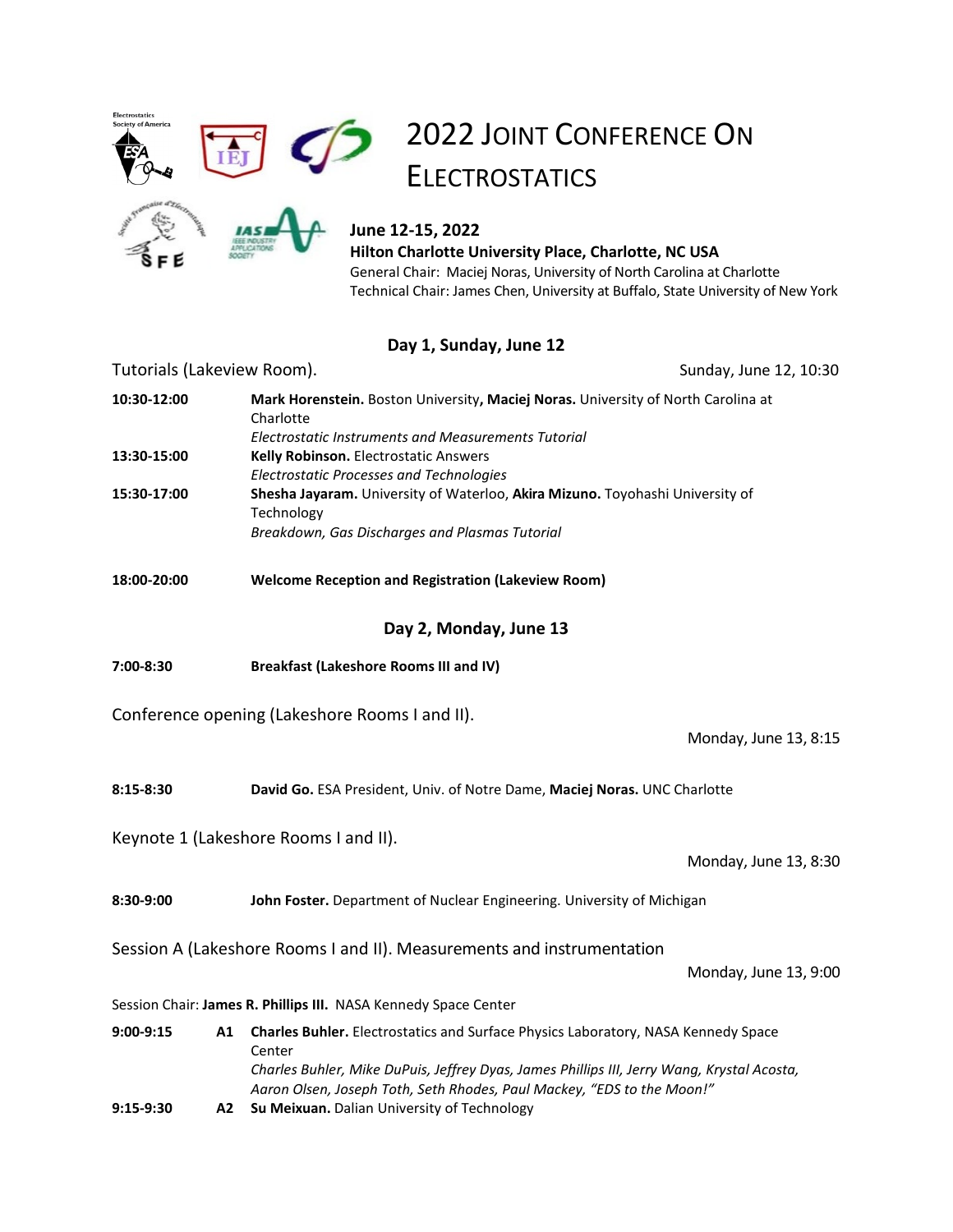

# 2022 JOINT CONFERENCE ON **ELECTROSTATICS**



# **June 12-15, 2022**

**Hilton Charlotte University Place, Charlotte, NC USA** General Chair: Maciej Noras, University of North Carolina at Charlotte Technical Chair: James Chen, University at Buffalo, State University of New York

# **Day 1, Sunday, June 12**

# Tutorials (Lakeview Room). Tutorials (Sunday, June 12, 10:30 **Day 2, Monday, June 13** Conference opening (Lakeshore Rooms I and II). Monday, June 13, 8:15 Keynote 1 (Lakeshore Rooms I and II). Monday, June 13, 8:30 Session A (Lakeshore Rooms I and II). Measurements and instrumentation Monday, June 13, 9:00 Session Chair: **James R. Phillips III.** NASA Kennedy Space Center **10:30-12:00 Mark Horenstein.** Boston University**, Maciej Noras.** University of North Carolina at Charlotte *Electrostatic Instruments and Measurements Tutorial* **13:30-15:00 Kelly Robinson.** Electrostatic Answers *Electrostatic Processes and Technologies* **15:30-17:00 Shesha Jayaram.** University of Waterloo, **Akira Mizuno.** Toyohashi University of Technology *Breakdown, Gas Discharges and Plasmas Tutorial* **18:00-20:00 Welcome Reception and Registration (Lakeview Room) 7:00-8:30 Breakfast (Lakeshore Rooms III and IV) 8:15-8:30 David Go.** ESA President, Univ. of Notre Dame, **Maciej Noras.** UNC Charlotte **8:30-9:00 John Foster.** Department of Nuclear Engineering. University of Michigan **9:00-9:15 A1 Charles Buhler.** Electrostatics and Surface Physics Laboratory, NASA Kennedy Space Center *Charles Buhler, Mike DuPuis, Jeffrey Dyas, James Phillips III, Jerry Wang, Krystal Acosta, Aaron Olsen, Joseph Toth, Seth Rhodes, Paul Mackey, "EDS to the Moon!"* **9:15-9:30 A2 Su Meixuan.** Dalian University of Technology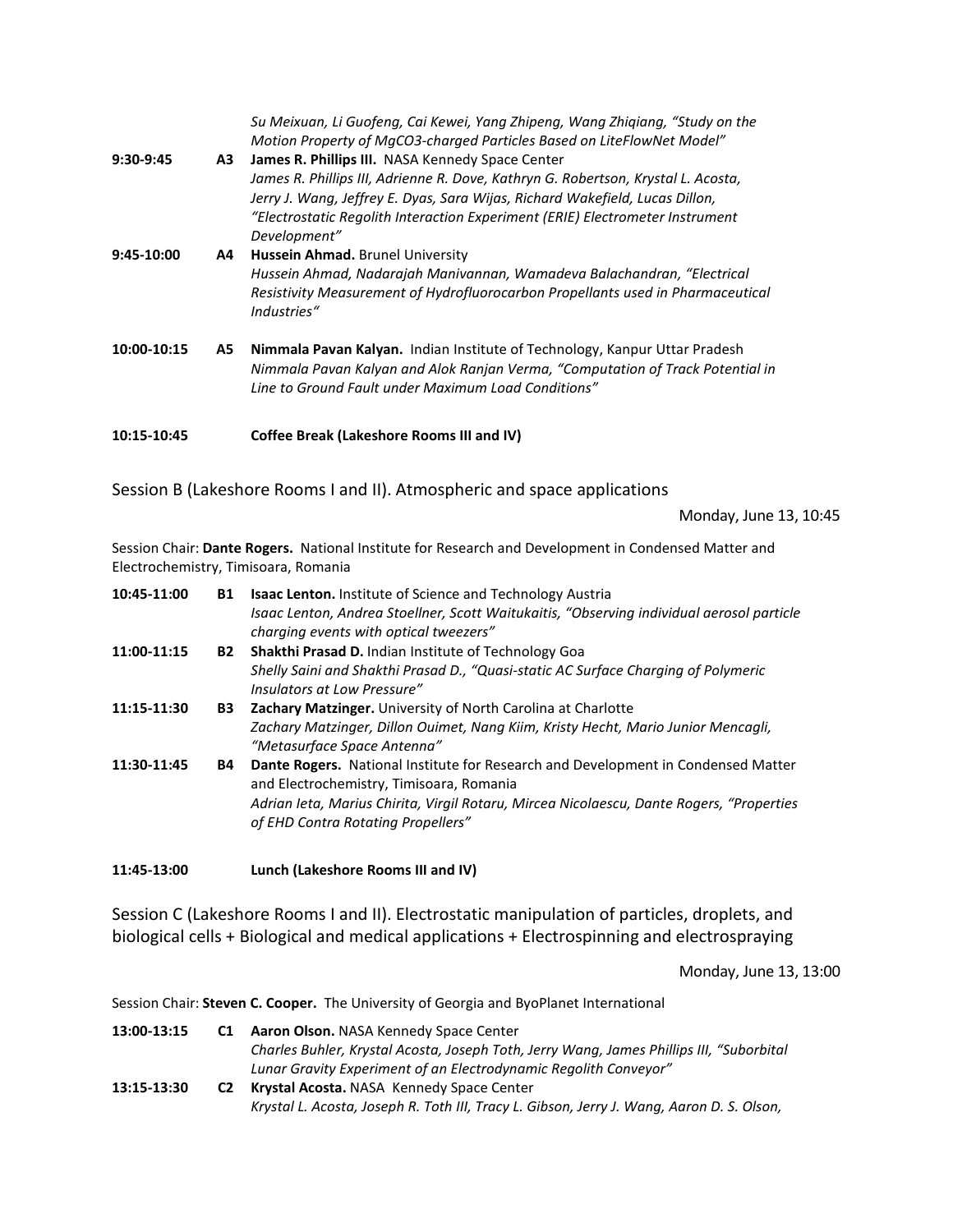| $9:30-9:45$ | Α3 | Su Meixuan, Li Guofeng, Cai Kewei, Yang Zhipeng, Wang Zhigiang, "Study on the<br>Motion Property of MgCO3-charged Particles Based on LiteFlowNet Model"<br>James R. Phillips III. NASA Kennedy Space Center<br>James R. Phillips III, Adrienne R. Dove, Kathryn G. Robertson, Krystal L. Acosta,<br>Jerry J. Wang, Jeffrey E. Dyas, Sara Wijas, Richard Wakefield, Lucas Dillon,<br>"Electrostatic Regolith Interaction Experiment (ERIE) Electrometer Instrument<br>Development" |
|-------------|----|-----------------------------------------------------------------------------------------------------------------------------------------------------------------------------------------------------------------------------------------------------------------------------------------------------------------------------------------------------------------------------------------------------------------------------------------------------------------------------------|
| 9:45-10:00  | A4 | Hussein Ahmad. Brunel University                                                                                                                                                                                                                                                                                                                                                                                                                                                  |
|             |    | Hussein Ahmad, Nadarajah Manivannan, Wamadeva Balachandran, "Electrical<br>Resistivity Measurement of Hydrofluorocarbon Propellants used in Pharmaceutical<br>Industries"                                                                                                                                                                                                                                                                                                         |
| 10:00-10:15 | A5 | Nimmala Pavan Kalyan. Indian Institute of Technology, Kanpur Uttar Pradesh<br>Nimmala Pavan Kalyan and Alok Ranjan Verma, "Computation of Track Potential in<br>Line to Ground Fault under Maximum Load Conditions"                                                                                                                                                                                                                                                               |
| 10:15-10:45 |    | Coffee Break (Lakeshore Rooms III and IV)                                                                                                                                                                                                                                                                                                                                                                                                                                         |

Session B (Lakeshore Rooms I and II). Atmospheric and space applications

Monday, June 13, 10:45

Session Chair: **Dante Rogers.** National Institute for Research and Development in Condensed Matter and Electrochemistry, Timisoara, Romania

| 10:45-11:00 | B1        | <b>Isaac Lenton.</b> Institute of Science and Technology Austria<br>Isaac Lenton, Andrea Stoellner, Scott Waitukaitis, "Observing individual aerosol particle<br>charging events with optical tweezers"                                                         |
|-------------|-----------|-----------------------------------------------------------------------------------------------------------------------------------------------------------------------------------------------------------------------------------------------------------------|
| 11:00-11:15 | <b>B2</b> | Shakthi Prasad D. Indian Institute of Technology Goa<br>Shelly Saini and Shakthi Prasad D., "Quasi-static AC Surface Charging of Polymeric<br>Insulators at Low Pressure"                                                                                       |
| 11:15-11:30 | <b>B3</b> | <b>Zachary Matzinger.</b> University of North Carolina at Charlotte<br>Zachary Matzinger, Dillon Ouimet, Nang Kiim, Kristy Hecht, Mario Junior Mencagli,<br>"Metasurface Space Antenna"                                                                         |
| 11:30-11:45 | B4        | Dante Rogers. National Institute for Research and Development in Condensed Matter<br>and Electrochemistry, Timisoara, Romania<br>Adrian leta, Marius Chirita, Virgil Rotaru, Mircea Nicolaescu, Dante Rogers, "Properties<br>of EHD Contra Rotating Propellers" |

**11:45-13:00 Lunch (Lakeshore Rooms III and IV)**

Session C (Lakeshore Rooms I and II). Electrostatic manipulation of particles, droplets, and biological cells + Biological and medical applications + Electrospinning and electrospraying

Monday, June 13, 13:00

Session Chair: **Steven C. Cooper.** The University of Georgia and ByoPlanet International

| 13:00-13:15 | C <sub>1</sub> | <b>Aaron Olson.</b> NASA Kennedy Space Center                                             |  |
|-------------|----------------|-------------------------------------------------------------------------------------------|--|
|             |                | Charles Buhler, Krystal Acosta, Joseph Toth, Jerry Wang, James Phillips III, "Suborbital  |  |
|             |                | Lunar Gravity Experiment of an Electrodynamic Regolith Conveyor"                          |  |
| 13:15-13:30 | C <sub>2</sub> | Krystal Acosta. NASA Kennedy Space Center                                                 |  |
|             |                | Krystal L. Acosta, Joseph R. Toth III, Tracy L. Gibson, Jerry J. Wang, Aaron D. S. Olson, |  |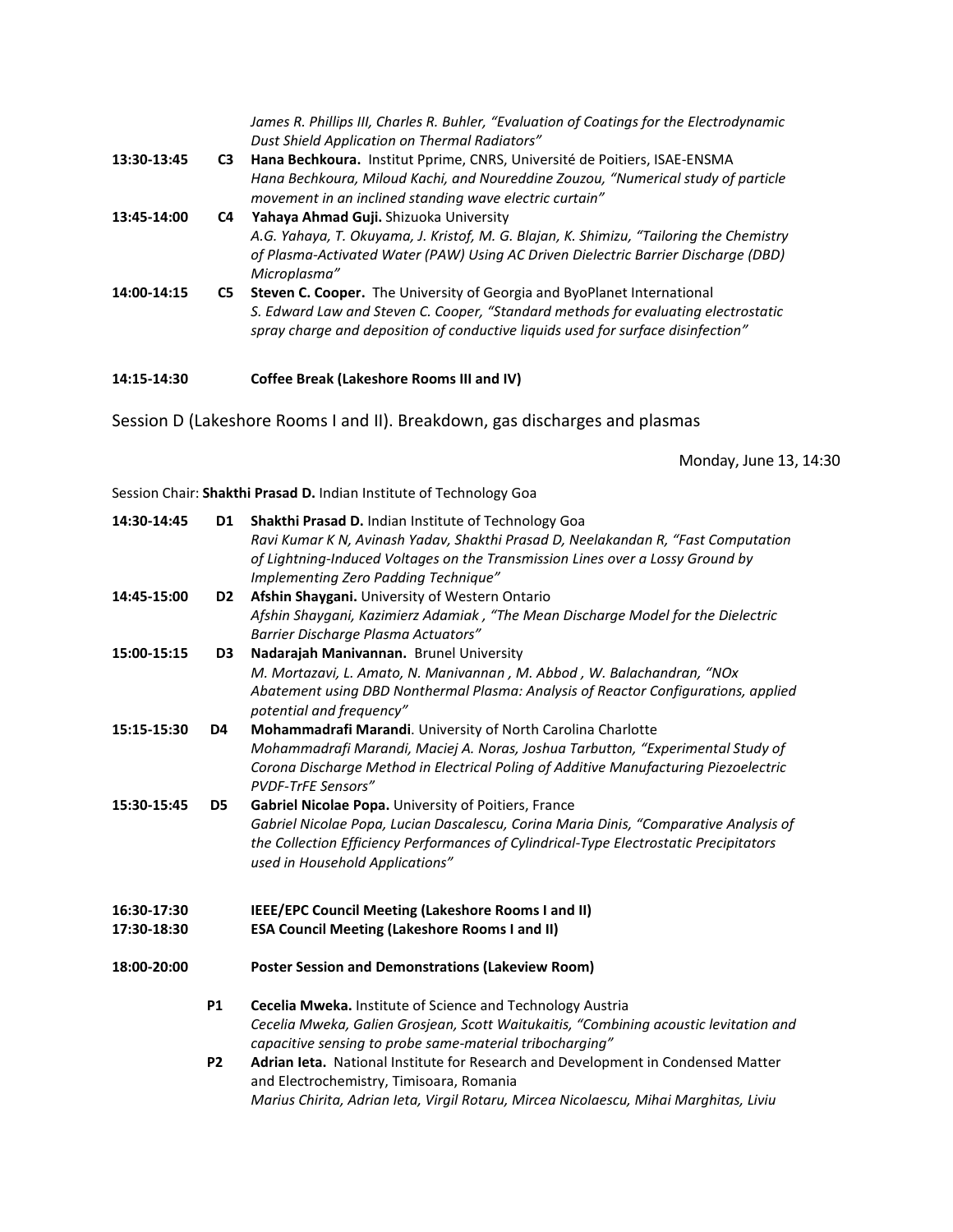*James R. Phillips III, Charles R. Buhler, "Evaluation of Coatings for the Electrodynamic Dust Shield Application on Thermal Radiators"*

- **13:30-13:45 C3 Hana Bechkoura.** Institut Pprime, CNRS, Université de Poitiers, ISAE-ENSMA *Hana Bechkoura, Miloud Kachi, and Noureddine Zouzou, "Numerical study of particle movement in an inclined standing wave electric curtain"*
- **13:45-14:00 C4 Yahaya Ahmad Guji.** Shizuoka University *A.G. Yahaya, T. Okuyama, J. Kristof, M. G. Blajan, K. Shimizu, "Tailoring the Chemistry of Plasma-Activated Water (PAW) Using AC Driven Dielectric Barrier Discharge (DBD) Microplasma"*
- **14:00-14:15 C5 Steven C. Cooper.** The University of Georgia and ByoPlanet International *S. Edward Law and Steven C. Cooper, "Standard methods for evaluating electrostatic spray charge and deposition of conductive liquids used for surface disinfection"*

#### **14:15-14:30 Coffee Break (Lakeshore Rooms III and IV)**

Session D (Lakeshore Rooms I and II). Breakdown, gas discharges and plasmas

Monday, June 13, 14:30

Session Chair: **Shakthi Prasad D.** Indian Institute of Technology Goa

| 14:30-14:45 | D <sub>1</sub> | Shakthi Prasad D. Indian Institute of Technology Goa<br>Ravi Kumar K N, Avinash Yadav, Shakthi Prasad D, Neelakandan R, "Fast Computation<br>of Lightning-Induced Voltages on the Transmission Lines over a Lossy Ground by<br>Implementing Zero Padding Technique" |
|-------------|----------------|---------------------------------------------------------------------------------------------------------------------------------------------------------------------------------------------------------------------------------------------------------------------|
| 14:45-15:00 | D <sub>2</sub> | Afshin Shaygani. University of Western Ontario                                                                                                                                                                                                                      |
|             |                | Afshin Shaygani, Kazimierz Adamiak, "The Mean Discharge Model for the Dielectric<br>Barrier Discharge Plasma Actuators"                                                                                                                                             |
| 15:00-15:15 | D <sub>3</sub> | Nadarajah Manivannan. Brunel University                                                                                                                                                                                                                             |
|             |                | M. Mortazavi, L. Amato, N. Manivannan, M. Abbod, W. Balachandran, "NOx<br>Abatement using DBD Nonthermal Plasma: Analysis of Reactor Configurations, applied<br>potential and frequency"                                                                            |
| 15:15-15:30 | D4             | Mohammadrafi Marandi. University of North Carolina Charlotte                                                                                                                                                                                                        |
|             |                | Mohammadrafi Marandi, Maciej A. Noras, Joshua Tarbutton, "Experimental Study of<br>Corona Discharge Method in Electrical Poling of Additive Manufacturing Piezoelectric<br><b>PVDF-TrFE Sensors"</b>                                                                |
| 15:30-15:45 | D <sub>5</sub> | Gabriel Nicolae Popa. University of Poitiers, France                                                                                                                                                                                                                |
|             |                | Gabriel Nicolae Popa, Lucian Dascalescu, Corina Maria Dinis, "Comparative Analysis of<br>the Collection Efficiency Performances of Cylindrical-Type Electrostatic Precipitators<br>used in Household Applications"                                                  |
| 16:30-17:30 |                | IEEE/EPC Council Meeting (Lakeshore Rooms I and II)                                                                                                                                                                                                                 |
| 17:30-18:30 |                | <b>ESA Council Meeting (Lakeshore Rooms I and II)</b>                                                                                                                                                                                                               |
| 18:00-20:00 |                | <b>Poster Session and Demonstrations (Lakeview Room)</b>                                                                                                                                                                                                            |
|             | <b>P1</b>      | Cecelia Mweka. Institute of Science and Technology Austria                                                                                                                                                                                                          |
|             |                | Cecelia Mweka, Galien Grosjean, Scott Waitukaitis, "Combining acoustic levitation and<br>capacitive sensing to probe same-material tribocharging"                                                                                                                   |
|             | <b>P2</b>      | Adrian Ieta. National Institute for Research and Development in Condensed Matter<br>and Electrochemistry, Timisoara, Romania                                                                                                                                        |
|             |                | Marius Chirita, Adrian leta, Virgil Rotaru, Mircea Nicolaescu, Mihai Marghitas, Liviu                                                                                                                                                                               |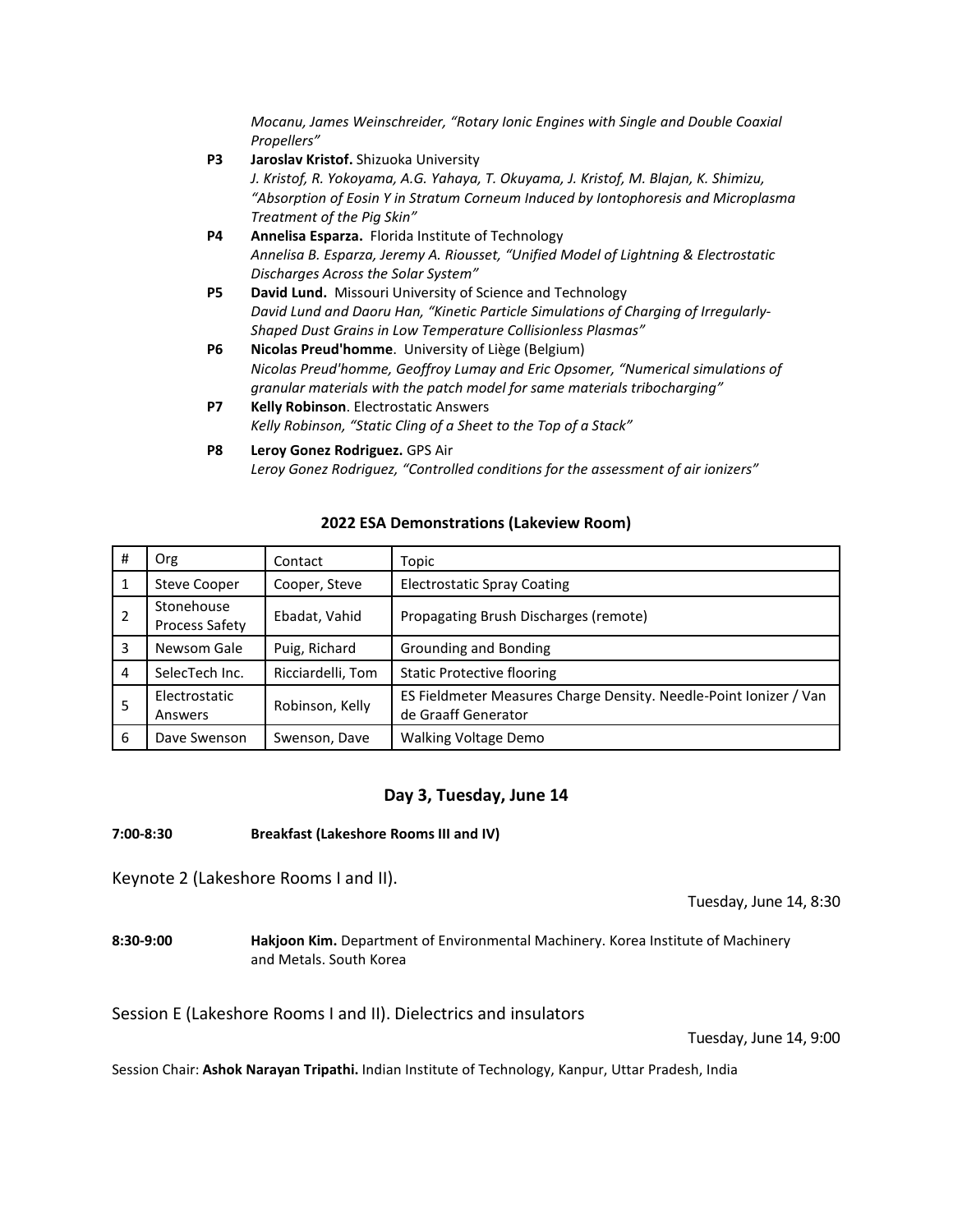*Mocanu, James Weinschreider, "Rotary Ionic Engines with Single and Double Coaxial Propellers"*

**P3 Jaroslav Kristof.** Shizuoka University *J. Kristof, R. Yokoyama, A.G. Yahaya, T. Okuyama, J. Kristof, M. Blajan, K. Shimizu, "Absorption of Eosin Y in Stratum Corneum Induced by Iontophoresis and Microplasma Treatment of the Pig Skin"*  **P4 Annelisa Esparza.** Florida Institute of Technology *Annelisa B. Esparza, Jeremy A. Riousset, "Unified Model of Lightning & Electrostatic Discharges Across the Solar System"* **P5 David Lund.** Missouri University of Science and Technology *David Lund and Daoru Han, "Kinetic Particle Simulations of Charging of Irregularly-Shaped Dust Grains in Low Temperature Collisionless Plasmas"* **P6 Nicolas Preud'homme**. University of Liège (Belgium) *Nicolas Preud'homme, Geoffroy Lumay and Eric Opsomer, "Numerical simulations of granular materials with the patch model for same materials tribocharging"* **P7 Kelly Robinson**. Electrostatic Answers *Kelly Robinson, "Static Cling of a Sheet to the Top of a Stack"*

#### **2022 ESA Demonstrations (Lakeview Room)**

| #              | Org                                 | Contact           | Topic                                                                                    |
|----------------|-------------------------------------|-------------------|------------------------------------------------------------------------------------------|
| 1              | <b>Steve Cooper</b>                 | Cooper, Steve     | <b>Electrostatic Spray Coating</b>                                                       |
| $\overline{2}$ | Stonehouse<br><b>Process Safety</b> | Ebadat, Vahid     | Propagating Brush Discharges (remote)                                                    |
| 3              | Newsom Gale                         | Puig, Richard     | Grounding and Bonding                                                                    |
| $\overline{4}$ | SelecTech Inc.                      | Ricciardelli, Tom | <b>Static Protective flooring</b>                                                        |
| 5              | Electrostatic<br>Answers            | Robinson, Kelly   | ES Fieldmeter Measures Charge Density. Needle-Point Ionizer / Van<br>de Graaff Generator |
| 6              | Dave Swenson                        | Swenson, Dave     | <b>Walking Voltage Demo</b>                                                              |

#### **Day 3, Tuesday, June 14**

#### **7:00-8:30 Breakfast (Lakeshore Rooms III and IV)**

Keynote 2 (Lakeshore Rooms I and II).

Tuesday, June 14, 8:30

**8:30-9:00 Hakjoon Kim.** Department of Environmental Machinery. Korea Institute of Machinery and Metals. South Korea

Session E (Lakeshore Rooms I and II). Dielectrics and insulators

Tuesday, June 14, 9:00

Session Chair: **Ashok Narayan Tripathi.** Indian Institute of Technology, Kanpur, Uttar Pradesh, India

**P8 Leroy Gonez Rodriguez.** GPS Air *Leroy Gonez Rodriguez, "Controlled conditions for the assessment of air ionizers"*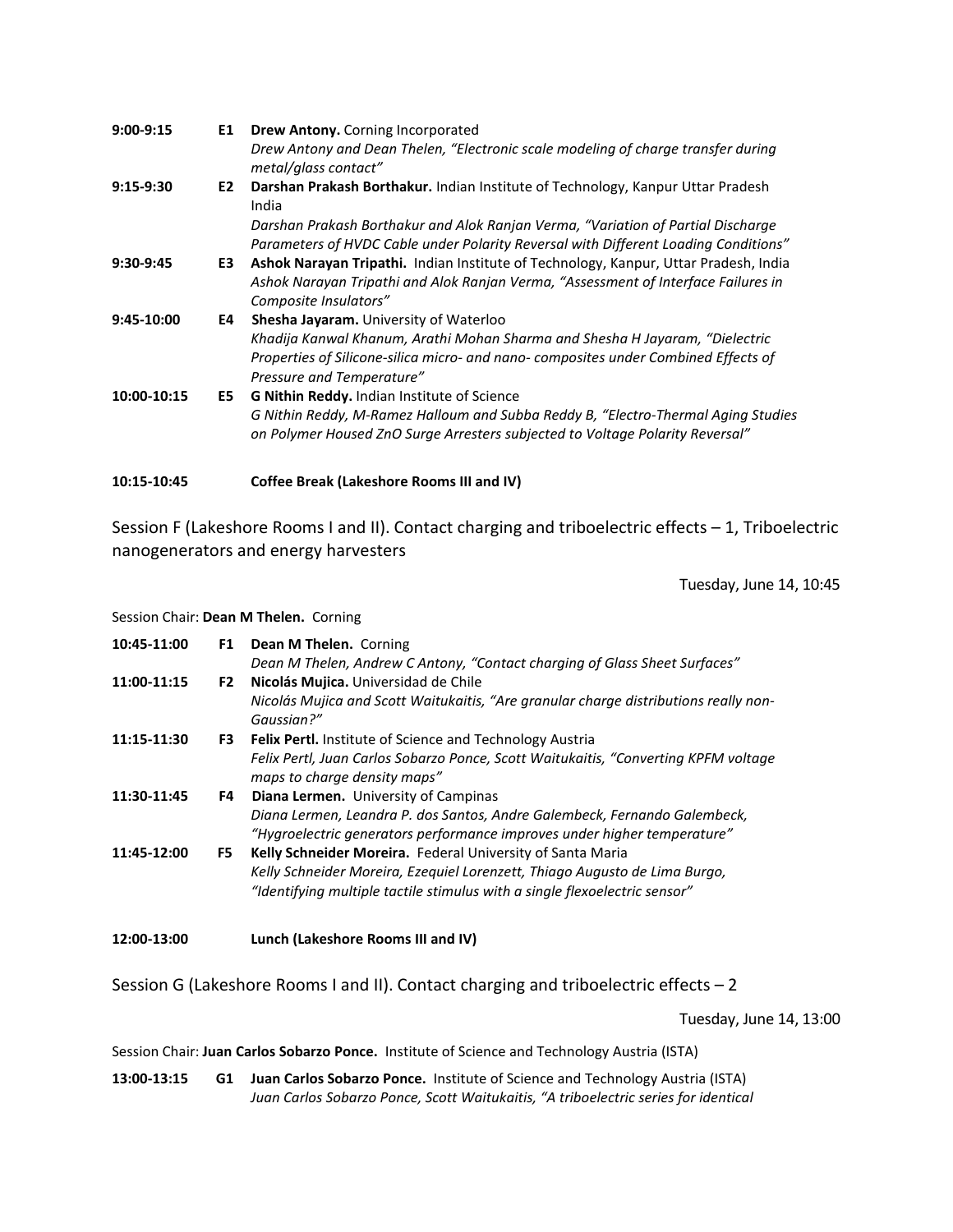| $9:00-9:15$ | E1 | Drew Antony. Corning Incorporated                                                                                                                                                                   |
|-------------|----|-----------------------------------------------------------------------------------------------------------------------------------------------------------------------------------------------------|
|             |    | Drew Antony and Dean Thelen, "Electronic scale modeling of charge transfer during<br>metal/glass contact"                                                                                           |
| $9:15-9:30$ | E2 | Darshan Prakash Borthakur. Indian Institute of Technology, Kanpur Uttar Pradesh<br>India                                                                                                            |
|             |    | Darshan Prakash Borthakur and Alok Ranjan Verma, "Variation of Partial Discharge<br>Parameters of HVDC Cable under Polarity Reversal with Different Loading Conditions"                             |
| $9:30-9:45$ | E3 | Ashok Narayan Tripathi. Indian Institute of Technology, Kanpur, Uttar Pradesh, India<br>Ashok Narayan Tripathi and Alok Ranjan Verma, "Assessment of Interface Failures in<br>Composite Insulators" |
| 9:45-10:00  | E4 | Shesha Jayaram. University of Waterloo                                                                                                                                                              |
|             |    | Khadija Kanwal Khanum, Arathi Mohan Sharma and Shesha H Jayaram, "Dielectric<br>Properties of Silicone-silica micro- and nano- composites under Combined Effects of<br>Pressure and Temperature"    |
| 10:00-10:15 | E5 | G Nithin Reddy. Indian Institute of Science                                                                                                                                                         |
|             |    | G Nithin Reddy, M-Ramez Halloum and Subba Reddy B, "Electro-Thermal Aging Studies<br>on Polymer Housed ZnO Surge Arresters subjected to Voltage Polarity Reversal"                                  |
| 10:15-10:45 |    | Coffee Break (Lakeshore Rooms III and IV)                                                                                                                                                           |

Session F (Lakeshore Rooms I and II). Contact charging and triboelectric effects – 1, Triboelectric nanogenerators and energy harvesters

Tuesday, June 14, 10:45

#### Session Chair: **Dean M Thelen.** Corning

| 10:45-11:00 | F1   | Dean M Thelen. Corning<br>Dean M Thelen, Andrew C Antony, "Contact charging of Glass Sheet Surfaces"                                                  |
|-------------|------|-------------------------------------------------------------------------------------------------------------------------------------------------------|
| 11:00-11:15 | F2   | Nicolás Mujica. Universidad de Chile                                                                                                                  |
|             |      | Nicolás Mujica and Scott Waitukaitis, "Are granular charge distributions really non-<br>Gaussian?"                                                    |
| 11:15-11:30 | F3   | <b>Felix Pertl.</b> Institute of Science and Technology Austria                                                                                       |
|             |      | Felix Pertl, Juan Carlos Sobarzo Ponce, Scott Waitukaitis, "Converting KPFM voltage<br>maps to charge density maps"                                   |
| 11:30-11:45 | F4 I | <b>Diana Lermen.</b> University of Campinas                                                                                                           |
|             |      | Diana Lermen, Leandra P. dos Santos, Andre Galembeck, Fernando Galembeck,<br>"Hygroelectric generators performance improves under higher temperature" |
| 11:45-12:00 | F5.  | Kelly Schneider Moreira. Federal University of Santa Maria                                                                                            |
|             |      | Kelly Schneider Moreira, Ezequiel Lorenzett, Thiago Augusto de Lima Burgo,                                                                            |
|             |      | "Identifying multiple tactile stimulus with a single flexoelectric sensor"                                                                            |
| 12:00-13:00 |      | Lunch (Lakeshore Rooms III and IV)                                                                                                                    |

Session G (Lakeshore Rooms I and II). Contact charging and triboelectric effects – 2

Tuesday, June 14, 13:00

Session Chair: **Juan Carlos Sobarzo Ponce.** Institute of Science and Technology Austria (ISTA)

**13:00-13:15 G1 Juan Carlos Sobarzo Ponce.** Institute of Science and Technology Austria (ISTA) *Juan Carlos Sobarzo Ponce, Scott Waitukaitis, "A triboelectric series for identical*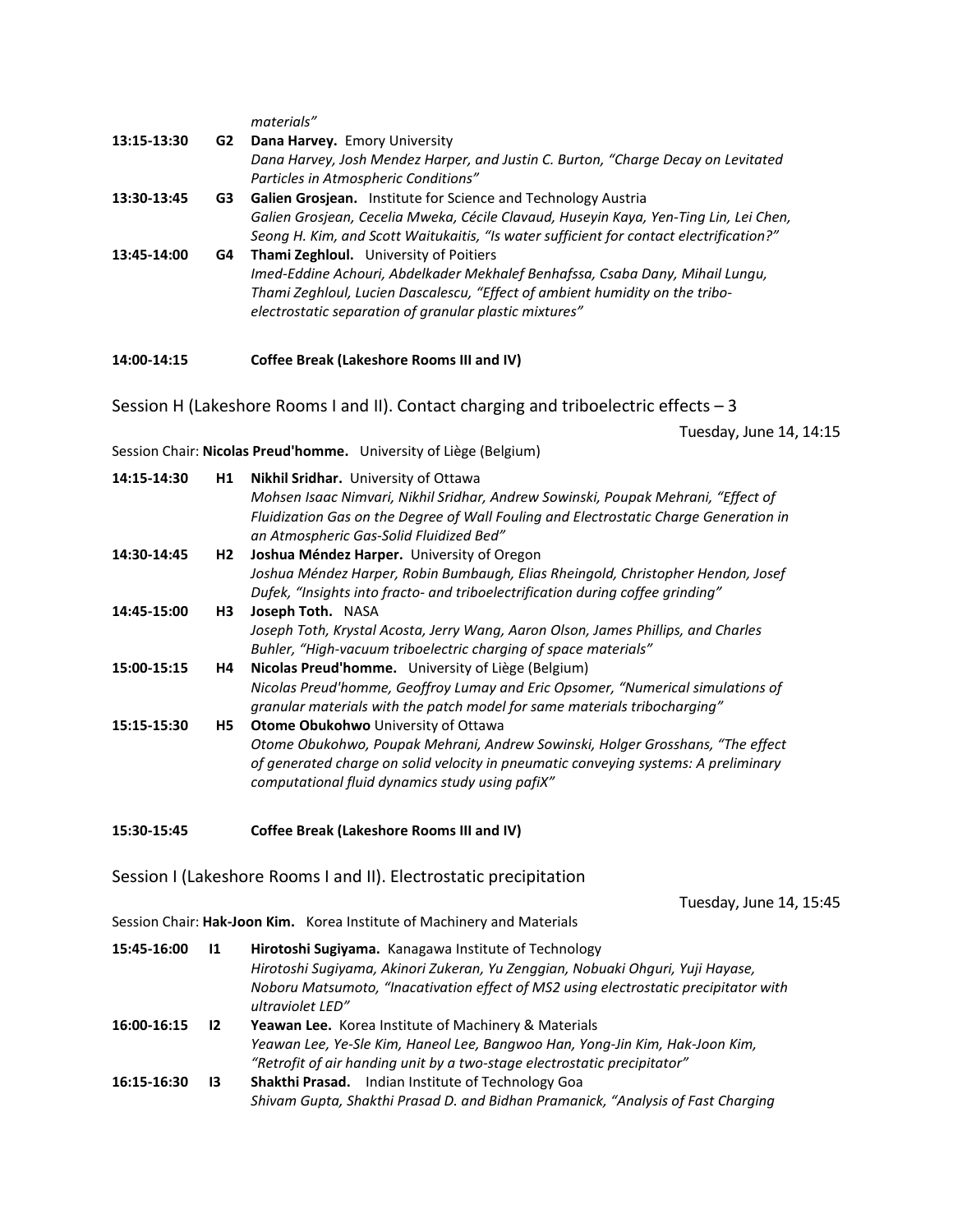*materials"*

| 13:15-13:30 | G2 | Dana Harvey. Emory University<br>Dana Harvey, Josh Mendez Harper, and Justin C. Burton, "Charge Decay on Levitated<br>Particles in Atmospheric Conditions"                                                                                                               |
|-------------|----|--------------------------------------------------------------------------------------------------------------------------------------------------------------------------------------------------------------------------------------------------------------------------|
| 13:30-13:45 | G3 | Galien Grosjean. Institute for Science and Technology Austria<br>Galien Grosjean, Cecelia Mweka, Cécile Clavaud, Huseyin Kaya, Yen-Ting Lin, Lei Chen,<br>Seong H. Kim, and Scott Waitukaitis, "Is water sufficient for contact electrification?"                        |
| 13:45-14:00 | G4 | <b>Thami Zeghloul.</b> University of Poitiers<br>Imed-Eddine Achouri, Abdelkader Mekhalef Benhafssa, Csaba Dany, Mihail Lungu,<br>Thami Zeghloul, Lucien Dascalescu, "Effect of ambient humidity on the tribo-<br>electrostatic separation of granular plastic mixtures" |
| 14:00-14:15 |    | Coffee Break (Lakeshore Rooms III and IV)                                                                                                                                                                                                                                |

Session H (Lakeshore Rooms I and II). Contact charging and triboelectric effects – 3

Tuesday, June 14, 14:15

Session Chair: **Nicolas Preud'homme.** University of Liège (Belgium)

| 14:15-14:30 | H1        | Nikhil Sridhar. University of Ottawa<br>Mohsen Isaac Nimvari, Nikhil Sridhar, Andrew Sowinski, Poupak Mehrani, "Effect of<br>Fluidization Gas on the Degree of Wall Fouling and Electrostatic Charge Generation in<br>an Atmospheric Gas-Solid Fluidized Bed" |
|-------------|-----------|---------------------------------------------------------------------------------------------------------------------------------------------------------------------------------------------------------------------------------------------------------------|
| 14:30-14:45 | H2        | Joshua Méndez Harper. University of Oregon                                                                                                                                                                                                                    |
|             |           | Joshua Méndez Harper, Robin Bumbaugh, Elias Rheingold, Christopher Hendon, Josef<br>Dufek, "Insights into fracto- and triboelectrification during coffee grinding"                                                                                            |
| 14:45-15:00 | H3        | Joseph Toth. NASA                                                                                                                                                                                                                                             |
|             |           | Joseph Toth, Krystal Acosta, Jerry Wang, Aaron Olson, James Phillips, and Charles<br>Buhler, "High-vacuum triboelectric charging of space materials"                                                                                                          |
| 15:00-15:15 | H4        | Nicolas Preud'homme. University of Liège (Belgium)                                                                                                                                                                                                            |
|             |           | Nicolas Preud'homme, Geoffroy Lumay and Eric Opsomer, "Numerical simulations of<br>granular materials with the patch model for same materials tribocharging"                                                                                                  |
| 15:15-15:30 | <b>H5</b> | <b>Otome Obukohwo</b> University of Ottawa                                                                                                                                                                                                                    |
|             |           | Otome Obukohwo, Poupak Mehrani, Andrew Sowinski, Holger Grosshans, "The effect<br>of generated charge on solid velocity in pneumatic conveying systems: A preliminary<br>computational fluid dynamics study using pafiX"                                      |

**15:30-15:45 Coffee Break (Lakeshore Rooms III and IV)**

Session I (Lakeshore Rooms I and II). Electrostatic precipitation

Tuesday, June 14, 15:45

Session Chair: **Hak-Joon Kim.** Korea Institute of Machinery and Materials

| 15:45-16:00 | 11 | Hirotoshi Sugiyama. Kanagawa Institute of Technology<br>Hirotoshi Sugiyama, Akinori Zukeran, Yu Zenggian, Nobuaki Ohguri, Yuji Hayase,<br>Noboru Matsumoto, "Inacativation effect of MS2 using electrostatic precipitator with<br>ultraviolet LED" |
|-------------|----|----------------------------------------------------------------------------------------------------------------------------------------------------------------------------------------------------------------------------------------------------|
| 16:00-16:15 | 12 | <b>Yeawan Lee.</b> Korea Institute of Machinery & Materials                                                                                                                                                                                        |
|             |    | Yeawan Lee, Ye-Sle Kim, Haneol Lee, Bangwoo Han, Yong-Jin Kim, Hak-Joon Kim,                                                                                                                                                                       |
|             |    | "Retrofit of air handing unit by a two-stage electrostatic precipitator"                                                                                                                                                                           |
| 16:15-16:30 | 13 | <b>Shakthi Prasad.</b> Indian Institute of Technology Goa                                                                                                                                                                                          |
|             |    | Shivam Gupta, Shakthi Prasad D. and Bidhan Pramanick, "Analysis of Fast Charging                                                                                                                                                                   |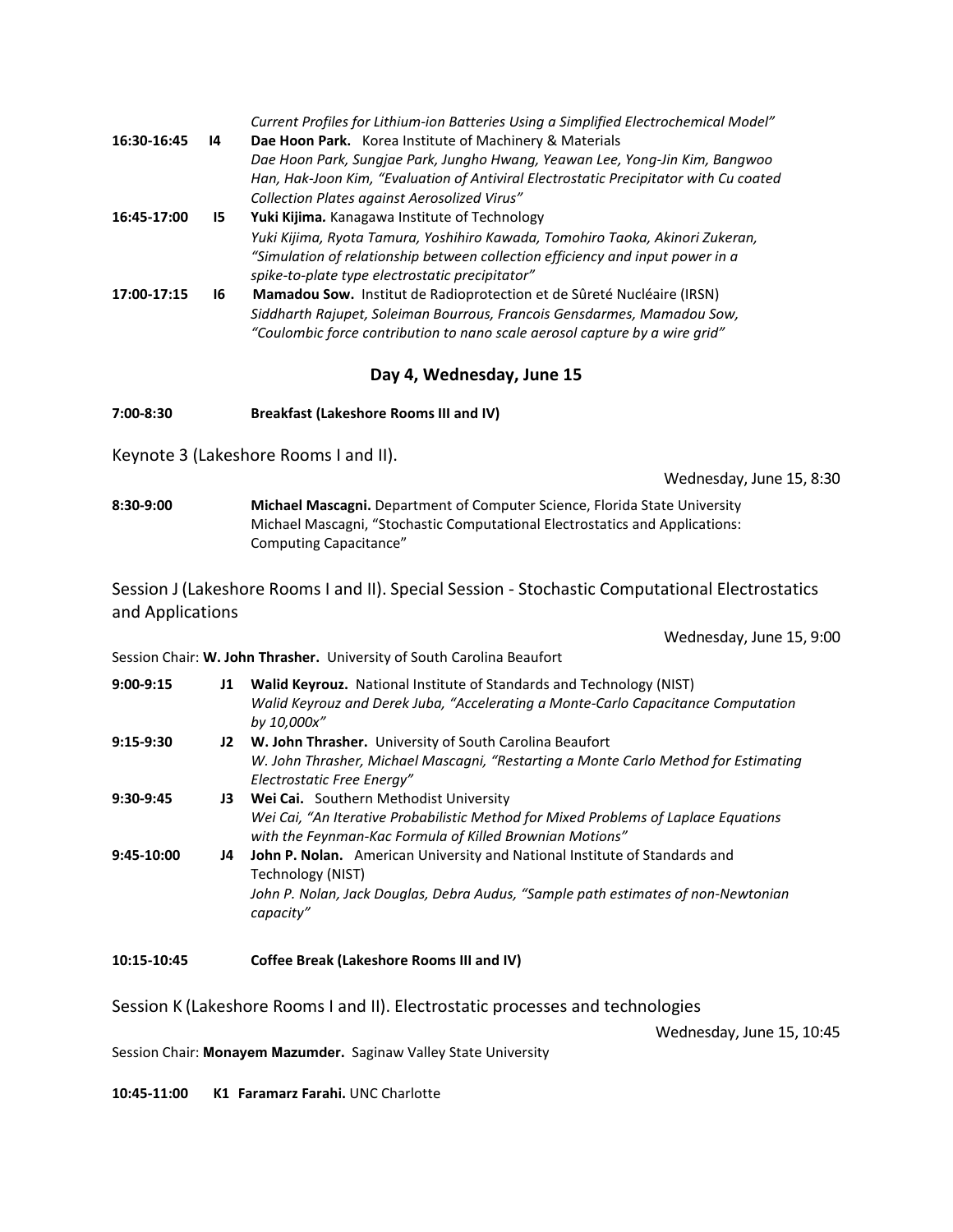| 16:30-16:45 | 14  | Current Profiles for Lithium-ion Batteries Using a Simplified Electrochemical Model"<br>Dae Hoon Park. Korea Institute of Machinery & Materials                                                                                  |
|-------------|-----|----------------------------------------------------------------------------------------------------------------------------------------------------------------------------------------------------------------------------------|
|             |     | Dae Hoon Park, Sungjae Park, Jungho Hwang, Yeawan Lee, Yong-Jin Kim, Bangwoo<br>Han, Hak-Joon Kim, "Evaluation of Antiviral Electrostatic Precipitator with Cu coated                                                            |
|             |     | Collection Plates against Aerosolized Virus"                                                                                                                                                                                     |
| 16:45-17:00 | 15. | Yuki Kijima. Kanagawa Institute of Technology                                                                                                                                                                                    |
|             |     | Yuki Kijima, Ryota Tamura, Yoshihiro Kawada, Tomohiro Taoka, Akinori Zukeran,<br>"Simulation of relationship between collection efficiency and input power in a<br>spike-to-plate type electrostatic precipitator"               |
| 17:00-17:15 | 16  | Mamadou Sow. Institut de Radioprotection et de Sûreté Nucléaire (IRSN)<br>Siddharth Rajupet, Soleiman Bourrous, Francois Gensdarmes, Mamadou Sow,<br>"Coulombic force contribution to nano scale aerosol capture by a wire grid" |

### **Day 4, Wednesday, June 15**

**7:00-8:30 Breakfast (Lakeshore Rooms III and IV)**

Keynote 3 (Lakeshore Rooms I and II).

Wednesday, June 15, 8:30

**8:30-9:00 Michael Mascagni.** Department of Computer Science, Florida State University Michael Mascagni, "Stochastic Computational Electrostatics and Applications: Computing Capacitance"

Session J (Lakeshore Rooms I and II). Special Session - Stochastic Computational Electrostatics and Applications

Wednesday, June 15, 9:00

|  | Session Chair: W. John Thrasher. University of South Carolina Beaufort |
|--|------------------------------------------------------------------------|
|--|------------------------------------------------------------------------|

- **9:00-9:15 J1 Walid Keyrouz.** National Institute of Standards and Technology (NIST) *Walid Keyrouz and Derek Juba, "Accelerating a Monte-Carlo Capacitance Computation by 10,000x"* **9:15-9:30 J2 W. John Thrasher.** University of South Carolina Beaufort *W. John Thrasher, Michael Mascagni, "Restarting a Monte Carlo Method for Estimating Electrostatic Free Energy"* **9:30-9:45 J3 Wei Cai.** Southern Methodist University
- *Wei Cai, "An Iterative Probabilistic Method for Mixed Problems of Laplace Equations with the Feynman-Kac Formula of Killed Brownian Motions"*
- **9:45-10:00 J4 John P. Nolan.** American University and National Institute of Standards and Technology (NIST) *John P. Nolan, Jack Douglas, Debra Audus, "Sample path estimates of non-Newtonian capacity"*
- **10:15-10:45 Coffee Break (Lakeshore Rooms III and IV)**

Session K (Lakeshore Rooms I and II). Electrostatic processes and technologies

Wednesday, June 15, 10:45

Session Chair: **Monayem Mazumder.** Saginaw Valley State University

**10:45-11:00 K1 Faramarz Farahi.** UNC Charlotte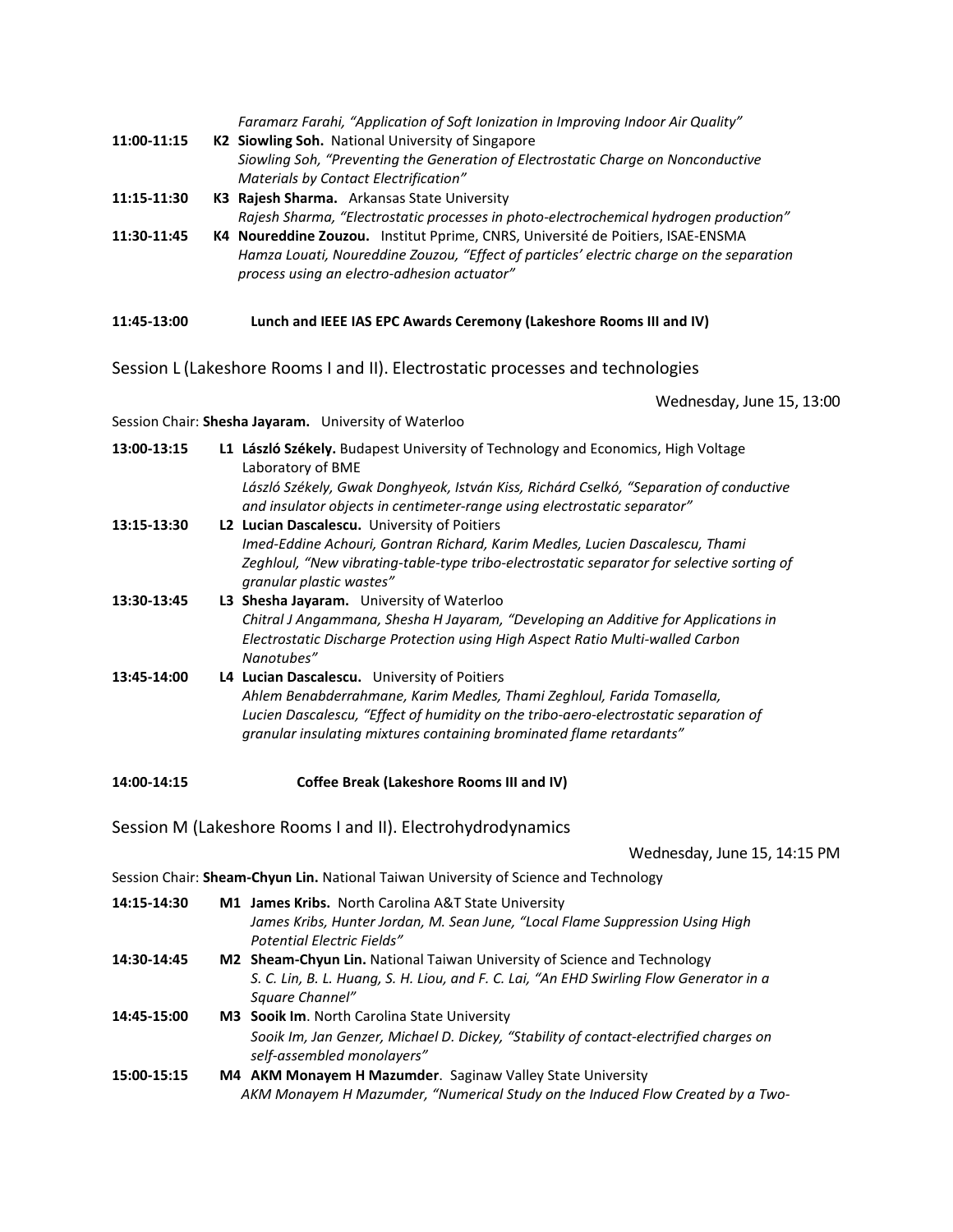*Faramarz Farahi, "Application of Soft Ionization in Improving Indoor Air Quality"*

- **11:00-11:15 K2 Siowling Soh.** National University of Singapore *Siowling Soh, "Preventing the Generation of Electrostatic Charge on Nonconductive Materials by Contact Electrification"*
- **11:15-11:30 K3 Rajesh Sharma.** Arkansas State University

*Rajesh Sharma, "Electrostatic processes in photo-electrochemical hydrogen production"*

**11:30-11:45 K4 Noureddine Zouzou.** Institut Pprime, CNRS, Université de Poitiers, ISAE-ENSMA *Hamza Louati, Noureddine Zouzou, "Effect of particles' electric charge on the separation process using an electro-adhesion actuator"*

**11:45-13:00 Lunch and IEEE IAS EPC Awards Ceremony (Lakeshore Rooms III and IV)**

Session L (Lakeshore Rooms I and II). Electrostatic processes and technologies

Wednesday, June 15, 13:00

Session Chair: **Shesha Jayaram.** University of Waterloo

| 13:00-13:15 | L1 László Székely. Budapest University of Technology and Economics, High Voltage<br>Laboratory of BME                                                                              |
|-------------|------------------------------------------------------------------------------------------------------------------------------------------------------------------------------------|
|             | László Székely, Gwak Donghyeok, István Kiss, Richárd Cselkó, "Separation of conductive<br>and insulator objects in centimeter-range using electrostatic separator"                 |
| 13:15-13:30 | L2 Lucian Dascalescu. University of Poitiers                                                                                                                                       |
|             | Imed-Eddine Achouri, Gontran Richard, Karim Medles, Lucien Dascalescu, Thami                                                                                                       |
|             | Zeghloul, "New vibrating-table-type tribo-electrostatic separator for selective sorting of<br>granular plastic wastes"                                                             |
| 13:30-13:45 | L3 Shesha Jayaram. University of Waterloo                                                                                                                                          |
|             | Chitral J Angammana, Shesha H Jayaram, "Developing an Additive for Applications in<br>Electrostatic Discharge Protection using High Aspect Ratio Multi-walled Carbon<br>Nanotubes" |
| 13:45-14:00 | L4 Lucian Dascalescu. University of Poitiers                                                                                                                                       |
|             | Ahlem Benabderrahmane, Karim Medles, Thami Zeghloul, Farida Tomasella,                                                                                                             |
|             | Lucien Dascalescu, "Effect of humidity on the tribo-aero-electrostatic separation of<br>granular insulating mixtures containing brominated flame retardants"                       |

**14:00-14:15 Coffee Break (Lakeshore Rooms III and IV)**

Session M (Lakeshore Rooms I and II). Electrohydrodynamics

Wednesday, June 15, 14:15 PM

Session Chair: **Sheam-Chyun Lin.** National Taiwan University of Science and Technology

| 14:15-14:30 | <b>M1 James Kribs.</b> North Carolina A&T State University<br>James Kribs, Hunter Jordan, M. Sean June, "Local Flame Suppression Using High<br><b>Potential Electric Fields"</b> |
|-------------|----------------------------------------------------------------------------------------------------------------------------------------------------------------------------------|
| 14:30-14:45 | M2 Sheam-Chyun Lin. National Taiwan University of Science and Technology                                                                                                         |
|             | S. C. Lin, B. L. Huang, S. H. Liou, and F. C. Lai, "An EHD Swirling Flow Generator in a<br>Square Channel"                                                                       |
| 14:45-15:00 | <b>M3 Sooik Im.</b> North Carolina State University                                                                                                                              |
|             | Sooik Im, Jan Genzer, Michael D. Dickey, "Stability of contact-electrified charges on<br>self-assembled monolayers"                                                              |
| 15:00-15:15 | M4 AKM Monayem H Mazumder. Saginaw Valley State University                                                                                                                       |
|             | AKM Monayem H Mazumder, "Numerical Study on the Induced Flow Created by a Two-                                                                                                   |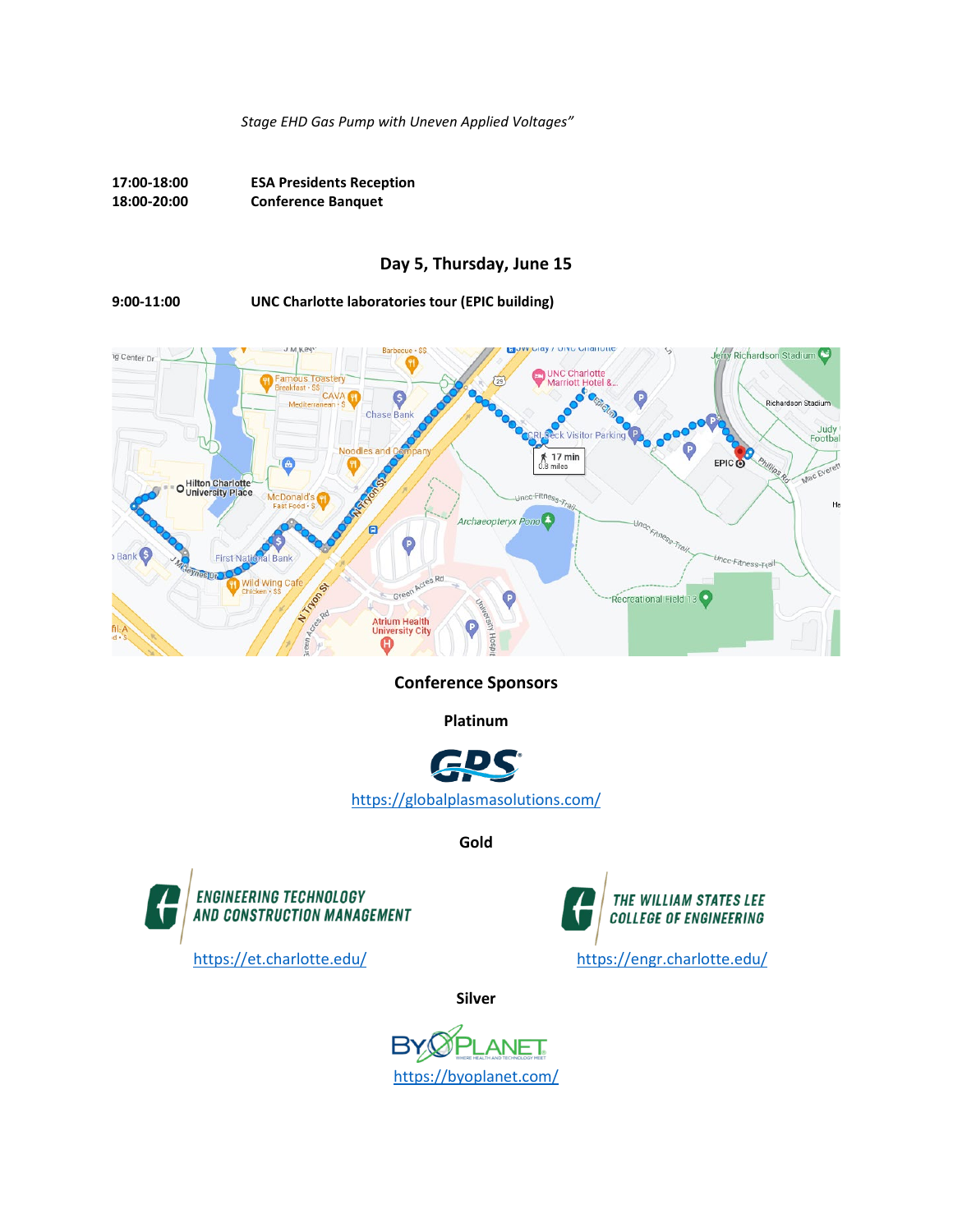*Stage EHD Gas Pump with Uneven Applied Voltages"*

**17:00-18:00 ESA Presidents Reception 18:00-20:00 Conference Banquet**

#### **Day 5, Thursday, June 15**

**9:00-11:00 UNC Charlotte laboratories tour (EPIC building)**



**Conference Sponsors**

**Platinum**



**Gold**





**Silver**